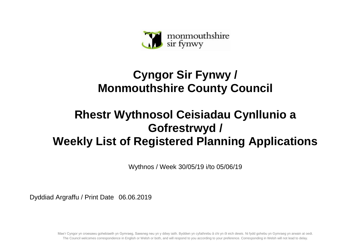

## **Cyngor Sir Fynwy / Monmouthshire County Council**

## **Rhestr Wythnosol Ceisiadau Cynllunio a Gofrestrwyd / Weekly List of Registered Planning Applications**

Wythnos / Week 30/05/19 i/to 05/06/19

Dyddiad Argraffu / Print Date 06.06.2019

Mae'r Cyngor yn croesawu gohebiaeth yn Gymraeg, Saesneg neu yn y ddwy iaith. Byddwn yn cyfathrebu â chi yn ôl eich dewis. Ni fydd gohebu yn Gymraeg yn arwain at oedi. The Council welcomes correspondence in English or Welsh or both, and will respond to you according to your preference. Corresponding in Welsh will not lead to delay.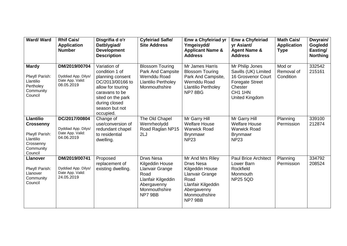| Ward/Ward                                                                                                | <b>Rhif Cais/</b><br><b>Application</b><br><b>Number</b>               | Disgrifia d o'r<br>Datblygiad/<br><b>Development</b><br><b>Description</b>                                                                                                         | <b>Cyfeiriad Safle/</b><br><b>Site Address</b>                                                                           | Enw a Chyfeiriad yr<br>Ymgeisydd/<br><b>Applicant Name &amp;</b><br><b>Address</b>                                                                  | <b>Enw a Chyfeiriad</b><br>yr Asiant/<br><b>Agent Name &amp;</b><br><b>Address</b>                                                     | <b>Math Cais/</b><br><b>Application</b><br><b>Type</b> | Dwyrain/<br>Gogledd<br>Easting/<br><b>Northing</b> |
|----------------------------------------------------------------------------------------------------------|------------------------------------------------------------------------|------------------------------------------------------------------------------------------------------------------------------------------------------------------------------------|--------------------------------------------------------------------------------------------------------------------------|-----------------------------------------------------------------------------------------------------------------------------------------------------|----------------------------------------------------------------------------------------------------------------------------------------|--------------------------------------------------------|----------------------------------------------------|
| <b>Mardy</b><br>Plwyf/ Parish:<br>Llantilio<br>Pertholey<br>Community<br>Council                         | DM/2019/00704<br>Dyddiad App. Dilys/<br>Date App. Valid:<br>08.05.2019 | Variation of<br>condition 1 of<br>planning consent<br>DC/2013/00166 to<br>allow for touring<br>caravans to be<br>sited on the park<br>during closed<br>season but not<br>occupied. | <b>Blossom Touring</b><br>Park And Campsite<br>Wernddu Road<br><b>Llantilio Pertholey</b><br>Monmouthshire               | Mr James Harris<br><b>Blossom Touring</b><br>Park And Campsite,<br>Wernddu Road<br><b>Llantilio Pertholey</b><br>NP78BG                             | Mr Philip Jones<br>Savills (UK) Limited<br>16 Grosvenor Court<br><b>Foregate Street</b><br>Chester<br>CH1 1HN<br><b>United Kingdom</b> | Mod or<br>Removal of<br>Condition                      | 332542<br>215161                                   |
| <b>Llantilio</b><br><b>Crossenny</b><br>Plwyf/ Parish:<br>Llantilio<br>Crossenny<br>Community<br>Council | DC/2017/00804<br>Dyddiad App. Dilys/<br>Date App. Valid:<br>04.06.2019 | Change of<br>use/conversion of<br>redundant chapel<br>to residential<br>dwelling.                                                                                                  | The Old Chapel<br>Wernrheolydd<br>Road Raglan NP15<br>2LJ                                                                | Mr Garry Hill<br><b>Welfare House</b><br><b>Warwick Road</b><br><b>Brynmawr</b><br><b>NP23</b>                                                      | Mr Garry Hill<br><b>Welfare House</b><br><b>Warwick Road</b><br><b>Brynmawr</b><br><b>NP23</b>                                         | Planning<br>Permission                                 | 339100<br>212874                                   |
| <b>Llanover</b><br>Plwyf/ Parish:<br>Llanover<br>Community<br>Council                                    | DM/2019/00741<br>Dyddiad App. Dilys/<br>Date App. Valid:<br>24.05.2019 | Proposed<br>replacement of<br>existing dwelling.                                                                                                                                   | Drws Nesa<br>Kilgeddin House<br>Llanvair Grange<br>Road<br>Llanfair Kilgeddin<br>Abergavenny<br>Monmouthshire<br>NP7 9BB | Mr And Mrs Riley<br><b>Drws Nesa</b><br>Kilgeddin House<br>Llanvair Grange<br>Road<br>Llanfair Kilgeddin<br>Abergavenny<br>Monmouthshire<br>NP7 9BB | <b>Paul Brice Architect</b><br>Lower Barn<br>Rockfield<br>Monmouth<br><b>NP25 5QD</b>                                                  | Planning<br>Permission                                 | 334792<br>208524                                   |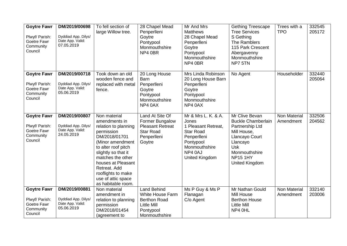| <b>Goytre Fawr</b><br>Plwyf/ Parish:<br>Goetre Fawr<br>Community<br>Council | DM/2019/00698<br>Dyddiad App. Dilys/<br>Date App. Valid:<br>07.05.2019 | To fell section of<br>large Willow tree.                                                                                                                                                                                                                                            | 28 Chapel Mead<br>Penperlleni<br>Goytre<br>Pontypool<br>Monmouthshire<br>NP4 0BR                                         | Mr And Mrs<br><b>Matthews</b><br>28 Chapel Mead<br>Penperlleni<br>Goytre<br>Pontypool<br>Monmouthshire<br>NP4 0BR                                 | <b>Gething Treescape</b><br><b>Tree Services</b><br>S Gething<br>The Ramblers<br>115 Park Crescent<br>Abergavenny<br>Monmouthshire<br>NP7 5TN                                   | Trees with a<br><b>TPO</b>       | 332545<br>205172 |
|-----------------------------------------------------------------------------|------------------------------------------------------------------------|-------------------------------------------------------------------------------------------------------------------------------------------------------------------------------------------------------------------------------------------------------------------------------------|--------------------------------------------------------------------------------------------------------------------------|---------------------------------------------------------------------------------------------------------------------------------------------------|---------------------------------------------------------------------------------------------------------------------------------------------------------------------------------|----------------------------------|------------------|
| <b>Goytre Fawr</b><br>Plwyf/ Parish:<br>Goetre Fawr<br>Community<br>Council | DM/2019/00718<br>Dyddiad App. Dilys/<br>Date App. Valid:<br>05.06.2019 | Took down an old<br>wooden fence and<br>replaced with metal<br>fence.                                                                                                                                                                                                               | 20 Long House<br><b>Barn</b><br>Penperlleni<br>Goytre<br>Pontypool<br>Monmouthshire<br>NP4 0AX                           | Mrs Linda Robinson<br>20 Long House Barn<br>Penperlleni<br>Goytre<br>Pontypool<br>Monmouthshire<br>NP4 0AX                                        | No Agent                                                                                                                                                                        | Householder                      | 332440<br>205064 |
| <b>Goytre Fawr</b><br>Plwyf/ Parish:<br>Goetre Fawr<br>Community<br>Council | DM/2019/00807<br>Dyddiad App. Dilys/<br>Date App. Valid:<br>24.05.2019 | Non material<br>amendments in<br>relation to planning<br>permission<br>DM/2018/01701<br>(Minor amendment<br>to alter roof pitch<br>slightly so that it<br>matches the other<br>houses at Pleasant<br>Retreat. Add<br>rooflights to make<br>use of attic space<br>as habitable room. | <b>Land At Site Of</b><br>Former Bungalow<br><b>Pleasant Retreat</b><br><b>Star Road</b><br>Penperlleni<br>Goytre        | Mr & Mrs L. K. & A.<br>Jones<br>1 Pleasant Retreat,<br><b>Star Road</b><br>Penperlleni<br>Pontypool<br>Monmouthshire<br>NP4 0AJ<br>United Kingdom | Mr Clive Bevan<br><b>Buckle Chamberlain</b><br>Partnership Ltd<br>Mill House,<br>Llancayo Court<br>Llancayo<br><b>Usk</b><br>Monmouthshire<br><b>NP15 1HY</b><br>United Kingdom | <b>Non Material</b><br>Amendment | 332506<br>204562 |
| <b>Goytre Fawr</b><br>Plwyf/ Parish:<br>Goetre Fawr<br>Community<br>Council | DM/2019/00881<br>Dyddiad App. Dilys/<br>Date App. Valid:<br>05.06.2019 | Non material<br>amendment in<br>relation to planning<br>permission<br>DM/2018/01454<br>(agreement to                                                                                                                                                                                | <b>Land Behind</b><br><b>White House Farm</b><br><b>Berthon Road</b><br><b>Little Mill</b><br>Pontypool<br>Monmouthshire | Ms P Guy & Ms P<br>Flanagan<br>C/o Agent                                                                                                          | Mr Nathan Gould<br>Mill House<br><b>Berthon House</b><br><b>Little Mill</b><br>NP4 0HL                                                                                          | <b>Non Material</b><br>Amendment | 332140<br>203006 |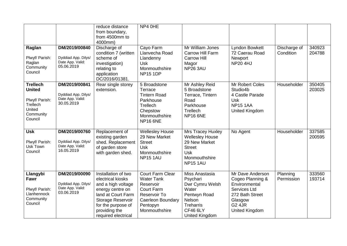|                                                                                                  |                                                                        | reduce distance<br>from boundary,<br>from 4500mm to<br>4000mm)                                                                                                                              | NP4 OHE                                                                                                                                          |                                                                                                                                           |                                                                                                                                        |                           |                  |
|--------------------------------------------------------------------------------------------------|------------------------------------------------------------------------|---------------------------------------------------------------------------------------------------------------------------------------------------------------------------------------------|--------------------------------------------------------------------------------------------------------------------------------------------------|-------------------------------------------------------------------------------------------------------------------------------------------|----------------------------------------------------------------------------------------------------------------------------------------|---------------------------|------------------|
| Raglan<br>Plwyf/ Parish:<br>Raglan<br>Community<br>Council                                       | DM/2019/00840<br>Dyddiad App. Dilys/<br>Date App. Valid:<br>05.06.2019 | Discharge of<br>condition 7 (written<br>scheme of<br>investigation)<br>relating to<br>application<br>DC/2016/01381.                                                                         | Cayo Farm<br>Llanvecha Road<br>Llandenny<br>Usk<br>Monmouthshire<br><b>NP15 1DP</b>                                                              | Mr William Jones<br>Carrow Hill Farm<br><b>Carrow Hill</b><br>Magor<br><b>NP26 3AU</b>                                                    | Lyndon Bowkett<br>72 Caerau Road<br>Newport<br><b>NP20 4HJ</b>                                                                         | Discharge of<br>Condition | 340923<br>204788 |
| <b>Trellech</b><br><b>United</b><br>Plwyf/ Parish:<br>Trellech<br>United<br>Community<br>Council | DM/2019/00841<br>Dyddiad App. Dilys/<br>Date App. Valid:<br>30.05.2019 | Rear single storey<br>extension.                                                                                                                                                            | 5 Broadstone<br>Terrace<br><b>Tintern Road</b><br>Parkhouse<br>Trellech<br>Chepstow<br>Monmouthshire<br><b>NP16 6NE</b>                          | Mr Ashley Reid<br>5 Broadstone<br>Terrace, Tintern<br>Road<br>Parkhouse<br>Trellech<br><b>NP16 6NE</b>                                    | Mr Robert Coles<br>Studio4b<br>4 Castle Parade<br><b>Usk</b><br><b>NP15 1AA</b><br><b>United Kingdom</b>                               | Householder               | 350405<br>203025 |
| <b>Usk</b><br>Plwyf/ Parish:<br>Usk Town<br>Council                                              | DM/2019/00760<br>Dyddiad App. Dilys/<br>Date App. Valid:<br>16.05.2019 | Replacement of<br>existing garden<br>shed. Replacement<br>of garden store<br>with garden shed.                                                                                              | <b>Wellesley House</b><br>29 New Market<br><b>Street</b><br><b>Usk</b><br>Monmouthshire<br>NP15 1AU                                              | Mrs Tracey Huxley<br><b>Wellesley House</b><br>29 New Market<br><b>Street</b><br><b>Usk</b><br>Monmouthshire<br><b>NP15 1AU</b>           | No Agent                                                                                                                               | Householder               | 337585<br>200595 |
| Llangybi<br>Fawr<br>Plwyf/ Parish:<br>Llanhennock<br>Community<br>Council                        | DM/2019/00090<br>Dyddiad App. Dilys/<br>Date App. Valid:<br>03.06.2019 | Installation of two<br>electrical kiosks<br>and a high voltage<br>energy centre on<br>land at Court Farm<br>Storage Reservoir<br>for the purpose of<br>providing the<br>required electrical | <b>Court Farm Clear</b><br><b>Water Tank</b><br>Reservoir<br><b>Court Farm</b><br>Reservoir To<br>Caerleon Boundary<br>Pentopyn<br>Monmouthshire | Miss Anastasia<br>Psychari<br>Dwr Cymru Welsh<br>Water<br>Pentwyn Road<br>Nelson<br>Treharris<br><b>CF46 6LY</b><br><b>United Kingdom</b> | Mr Dave Anderson<br>Cogeo Planning &<br>Environmental<br>Services Ltd<br>272 Bath Street<br>Glasgow<br><b>G2 4JR</b><br>United Kingdom | Planning<br>Permission    | 333560<br>193714 |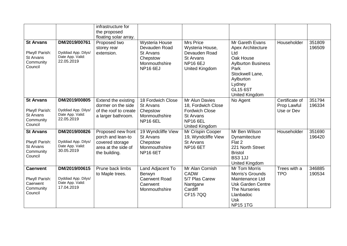|                                                                         |                                                                        | infrastructure for<br>the proposed<br>floating solar array.                                        |                                                                                                     |                                                                                                                               |                                                                                                                                                                                            |                                             |                  |
|-------------------------------------------------------------------------|------------------------------------------------------------------------|----------------------------------------------------------------------------------------------------|-----------------------------------------------------------------------------------------------------|-------------------------------------------------------------------------------------------------------------------------------|--------------------------------------------------------------------------------------------------------------------------------------------------------------------------------------------|---------------------------------------------|------------------|
| <b>St Arvans</b><br>Plwyf/ Parish:<br>St Arvans<br>Community<br>Council | DM/2019/00761<br>Dyddiad App. Dilys/<br>Date App. Valid:<br>22.05.2019 | Proposed two<br>storey rear<br>extension.                                                          | Wysteria House<br>Devauden Road<br><b>St Arvans</b><br>Chepstow<br>Monmouthshire<br><b>NP16 6EJ</b> | <b>Mrs Price</b><br>Wysteria House,<br>Devauden Road<br><b>St Arvans</b><br><b>NP16 6EJ</b><br>United Kingdom                 | Mr Gareth Evans<br><b>Apex Architecture</b><br>Ltd<br>Oak House<br><b>Aylburton Business</b><br>Park<br>Stockwell Lane,<br>Aylburton<br>Lydney<br><b>GL15 6ST</b><br><b>United Kingdom</b> | Householder                                 | 351809<br>196509 |
| <b>St Arvans</b><br>Plwyf/ Parish:<br>St Arvans<br>Community<br>Council | DM/2019/00805<br>Dyddiad App. Dilys/<br>Date App. Valid:<br>22.05.2019 | Extend the existing<br>dormer on the side<br>of the roof to create<br>a larger bathroom.           | 18 Fordwich Close<br><b>St Arvans</b><br>Chepstow<br>Monmouthshire<br><b>NP16 6EL</b>               | Mr Alun Davies<br>18, Fordwich Close<br><b>Fordwich Close</b><br><b>St Arvans</b><br><b>NP16 6EL</b><br><b>United Kingdom</b> | No Agent                                                                                                                                                                                   | Certificate of<br>Prop Lawful<br>Use or Dev | 351794<br>196334 |
| <b>St Arvans</b><br>Plwyf/ Parish:<br>St Arvans<br>Community<br>Council | DM/2019/00826<br>Dyddiad App. Dilys/<br>Date App. Valid:<br>30.05.2019 | Proposed new front<br>porch and lean-to<br>covered storage<br>area at the side of<br>the building. | 19 Wyndcliffe View<br><b>St Arvans</b><br>Chepstow<br>Monmouthshire<br><b>NP16 6ET</b>              | Mr Crispin Cooper<br>19, Wyndcliffe View<br>St Arvans<br><b>NP16 6ET</b>                                                      | Mr Ben Wilson<br>Dynamitecture<br>Flat 2<br>221 North Street<br><b>Bristol</b><br><b>BS3 1JJ</b><br><b>United Kingdom</b>                                                                  | Householder                                 | 351690<br>196420 |
| <b>Caerwent</b><br>Plwyf/ Parish:<br>Caerwent<br>Community<br>Council   | DM/2019/00615<br>Dyddiad App. Dilys/<br>Date App. Valid:<br>17.04.2019 | Prune back limbs<br>to Maple trees.                                                                | Land Adjacent To<br>Berwyn<br><b>Caerwent Road</b><br>Caerwent<br>Monmouthshire                     | Mr Alan Cornish<br><b>CADW</b><br>5/7 Plas Carew<br>Nantgarw<br>Cardiff<br><b>CF157QQ</b>                                     | Mr Tom Morris<br>Morris's Grounds<br>Maintenance Ltd<br><b>Usk Garden Centre</b><br>The Nurseries<br>Llanbadoc<br><b>Usk</b><br><b>NP15 1TG</b>                                            | Trees with a<br><b>TPO</b>                  | 346885<br>190534 |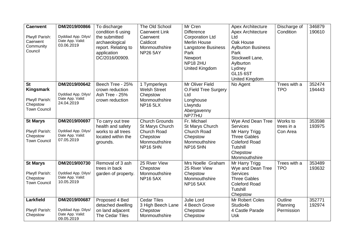| <b>Caerwent</b><br>Plwyf/ Parish:<br>Caerwent<br>Community<br>Council       | DM/2019/00866<br>Dyddiad App. Dilys/<br>Date App. Valid:<br>03.06.2019 | To discharge<br>condition 6 using<br>the submitted<br>archaeological<br>report. Relating to<br>application<br>DC/2016/00909. | The Old School<br><b>Caerwent Link</b><br>Caerwent<br>Caldicot<br>Monmouthshire<br><b>NP26 5AY</b>             | Mr Cren<br><b>Difference</b><br><b>Corporation Ltd</b><br><b>Merlin House</b><br><b>Langstone Business</b><br>Park<br>Newport<br><b>NP18 2HU</b><br><b>United Kingdom</b> | <b>Apex Architecture</b><br><b>Apex Architecture</b><br>Ltd<br>Oak House<br><b>Aylburton Business</b><br>Park<br>Stockwell Lane,<br>Aylburton<br>Lydney<br><b>GL15 6ST</b> | Discharge of<br>Condition          | 346879<br>190610 |
|-----------------------------------------------------------------------------|------------------------------------------------------------------------|------------------------------------------------------------------------------------------------------------------------------|----------------------------------------------------------------------------------------------------------------|---------------------------------------------------------------------------------------------------------------------------------------------------------------------------|----------------------------------------------------------------------------------------------------------------------------------------------------------------------------|------------------------------------|------------------|
| <b>St</b><br>Kingsmark<br>Plwyf/ Parish:<br>Chepstow<br><b>Town Council</b> | DM/2019/00642<br>Dyddiad App. Dilys/<br>Date App. Valid:<br>24.04.2019 | Beech Tree - 25%<br>crown reduction<br>Ash Tree - 25%<br>crown reduction                                                     | 1 Tymperleys<br><b>Welsh Street</b><br>Chepstow<br>Monmouthshire<br><b>NP16 5LX</b>                            | Mr Oliver Field<br><b>O.Field Tree Surgery</b><br>Ltd<br>Longhouse<br>Llwyndu<br>Abergavenny<br>NP77HU                                                                    | United Kingdom<br>No Agent                                                                                                                                                 | Trees with a<br><b>TPO</b>         | 352474<br>194443 |
| <b>St Marys</b><br>Plwyf/ Parish:<br>Chepstow<br><b>Town Council</b>        | DM/2019/00697<br>Dyddiad App. Dilys/<br>Date App. Valid:<br>07.05.2019 | To carry out tree<br>health and safety<br>works to all trees<br>located within the<br>grounds.                               | <b>Church Grounds</b><br>St Marys Church<br><b>Church Road</b><br>Chepstow<br>Monmouthshire<br><b>NP16 5HN</b> | Fr. Michael<br>St Marys Church<br>Church Road<br>Chepstow<br>Monmouthshire<br><b>NP16 5HN</b>                                                                             | Wye And Dean Tree<br><b>Services</b><br>Mr Harry Trigg<br><b>Three Gables</b><br><b>Coleford Road</b><br>Tutshill<br>Chepstow<br>Monmouthshire                             | Works to<br>trees in a<br>Con Area | 353598<br>193975 |
| <b>St Marys</b><br>Plwyf/ Parish:<br>Chepstow<br><b>Town Council</b>        | DM/2019/00730<br>Dyddiad App. Dilys/<br>Date App. Valid:<br>10.05.2019 | Removal of 3 ash<br>trees in back<br>garden of property.                                                                     | 25 River View<br>Chepstow<br>Monmouthshire<br><b>NP16 5AX</b>                                                  | Mrs Noelle Graham<br>25 River View<br>Chepstow<br>Monmouthshire<br><b>NP16 5AX</b>                                                                                        | Mr Harry Trigg<br>Wye and Dean Tree<br><b>Services</b><br><b>Three Gables</b><br><b>Coleford Road</b><br><b>Tutshill</b><br>Chepstow                                       | Trees with a<br><b>TPO</b>         | 353489<br>193632 |
| Larkfield<br>Plwyf/ Parish:<br>Chepstow                                     | DM/2019/00687<br>Dyddiad App. Dilys/<br>Date App. Valid:<br>09.05.2019 | Proposed 4 Bed<br>detached dwelling<br>on land adjacent<br>The Cedar Tiles                                                   | <b>Cedar Tiles</b><br>3 High Beech Lane<br>Chepstow<br>Monmouthshire                                           | Julie Lord<br>4 Beech Grove<br>Chepstow<br>Chepstow                                                                                                                       | Mr Robert Coles<br>Studio4b<br>4 Castle Parade<br><b>Usk</b>                                                                                                               | Outline<br>Planning<br>Permission  | 352771<br>192974 |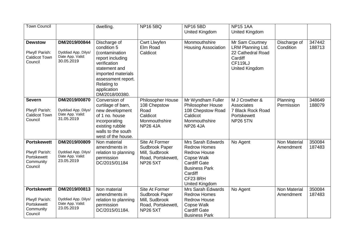| <b>Town Council</b>                    |                                         | dwelling.                           | <b>NP165BQ</b>      | <b>NP16 5BD</b>            | <b>NP15 1AA</b>       |                                  |                  |
|----------------------------------------|-----------------------------------------|-------------------------------------|---------------------|----------------------------|-----------------------|----------------------------------|------------------|
|                                        |                                         |                                     |                     | <b>United Kingdom</b>      | <b>United Kingdom</b> |                                  |                  |
|                                        |                                         |                                     |                     |                            |                       |                                  |                  |
| <b>Dewstow</b>                         | DM/2019/00844                           | Discharge of                        | <b>Cwrt Llwyfen</b> | Monmouthshire              | Mr Sam Courtney       | Discharge of                     | 347442           |
|                                        |                                         | condition 5                         | Elm Road            | <b>Housing Association</b> | LRM Planning Ltd.     | Condition                        | 188713           |
| Plwyf/ Parish:<br><b>Caldicot Town</b> | Dyddiad App. Dilys/<br>Date App. Valid: | (contamination                      | Caldicot            |                            | 22 Cathedral Road     |                                  |                  |
| Council                                | 30.05.2019                              | report including                    |                     |                            | Cardiff               |                                  |                  |
|                                        |                                         | verification                        |                     |                            | <b>CF119LJ</b>        |                                  |                  |
|                                        |                                         | statement and<br>imported materials |                     |                            | <b>United Kingdom</b> |                                  |                  |
|                                        |                                         | assessment report.                  |                     |                            |                       |                                  |                  |
|                                        |                                         | Relating to                         |                     |                            |                       |                                  |                  |
|                                        |                                         | application                         |                     |                            |                       |                                  |                  |
|                                        |                                         | DM/2018/00380.                      |                     |                            |                       |                                  |                  |
| <b>Severn</b>                          | DM/2019/00870                           | Conversion of                       | Philosopher House   | Mr Wyndham Fuller          | M J Crowther &        | Planning                         | 348649           |
|                                        |                                         | curtilage of barn,                  | 108 Chepstow        | <b>Philosopher House</b>   | Associates            | Permission                       | 188079           |
| Plwyf/ Parish:                         | Dyddiad App. Dilys/                     | new development                     | Road                | 108 Chepstow Road          | 7 Black Rock Road     |                                  |                  |
| <b>Caldicot Town</b>                   | Date App. Valid:<br>31.05.2019          | of 1 no. house                      | Caldicot            | Caldicot                   | Portskewett           |                                  |                  |
| Council                                |                                         | incorporating                       | Monmouthshire       | Monmouthshire              | <b>NP26 5TN</b>       |                                  |                  |
|                                        |                                         | existing rubble                     | <b>NP26 4JA</b>     | <b>NP26 4JA</b>            |                       |                                  |                  |
|                                        |                                         | walls to the south                  |                     |                            |                       |                                  |                  |
| <b>Portskewett</b>                     |                                         | west of the house.                  | Site At Former      | Mrs Sarah Edwards          |                       |                                  |                  |
|                                        | DM/2019/00809                           | Non material<br>amendments in       | Sudbrook Paper      | <b>Redrow Homes</b>        | No Agent              | <b>Non Material</b><br>Amendment | 350084<br>187483 |
| Plwyf/ Parish:                         | Dyddiad App. Dilys/                     | relation to planning                | Mill, Sudbrook      | <b>Redrow House</b>        |                       |                                  |                  |
| Portskewett                            | Date App. Valid:                        | permission                          | Road, Portskewett,  | Copse Walk                 |                       |                                  |                  |
| Community                              | 23.05.2019                              | DC/2015/01184                       | <b>NP26 5XT</b>     | <b>Cardiff Gate</b>        |                       |                                  |                  |
| Council                                |                                         |                                     |                     | <b>Business Park</b>       |                       |                                  |                  |
|                                        |                                         |                                     |                     | Cardiff                    |                       |                                  |                  |
|                                        |                                         |                                     |                     | CF23 8RH                   |                       |                                  |                  |
|                                        |                                         |                                     |                     | <b>United Kingdom</b>      |                       |                                  |                  |
| <b>Portskewett</b>                     | DM/2019/00813                           | Non material                        | Site At Former      | <b>Mrs Sarah Edwards</b>   | No Agent              | <b>Non Material</b>              | 350084           |
|                                        |                                         | amendments in                       | Sudbrook Paper      | <b>Redrow Homes</b>        |                       | Amendment                        | 187483           |
| Plwyf/ Parish:                         | Dyddiad App. Dilys/                     | relation to planning                | Mill, Sudbrook      | <b>Redrow House</b>        |                       |                                  |                  |
| Portskewett<br>Community               | Date App. Valid:<br>23.05.2019          | permission                          | Road, Portskewett,  | Copse Walk                 |                       |                                  |                  |
| Council                                |                                         | DC/2015/01184.                      | <b>NP26 5XT</b>     | <b>Cardiff Gate</b>        |                       |                                  |                  |
|                                        |                                         |                                     |                     | <b>Business Park</b>       |                       |                                  |                  |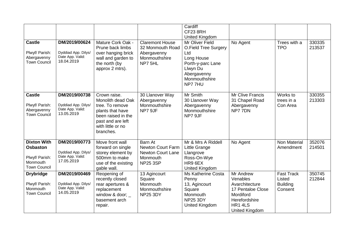|                                                                                            |                                                                        |                                                                                                                                                       |                                                                                                | Cardiff<br>CF23 8RH<br><b>United Kingdom</b>                                                                                             |                                                                                                                         |                                                           |                  |
|--------------------------------------------------------------------------------------------|------------------------------------------------------------------------|-------------------------------------------------------------------------------------------------------------------------------------------------------|------------------------------------------------------------------------------------------------|------------------------------------------------------------------------------------------------------------------------------------------|-------------------------------------------------------------------------------------------------------------------------|-----------------------------------------------------------|------------------|
| <b>Castle</b><br>Plwyf/ Parish:<br>Abergavenny<br><b>Town Council</b>                      | DM/2019/00624<br>Dyddiad App. Dilys/<br>Date App. Valid:<br>18.04.2019 | Mature Cork Oak -<br>Prune back limbs<br>over hanging brick<br>wall and garden to<br>the north (by<br>approx 2 mtrs).                                 | <b>Claremont House</b><br>32 Monmouth Road<br>Abergavenny<br>Monmouthshire<br>NP7 5HL          | Mr Oliver Field<br>O.Field Tree Surgery<br>Ltd<br>Long House<br>Porth-y-parc Lane<br>Llwyn Du<br>Abergavenny<br>Monmouthshire<br>NP777HU | No Agent                                                                                                                | Trees with a<br><b>TPO</b>                                | 330335<br>213537 |
| <b>Castle</b><br>Plwyf/ Parish:<br>Abergavenny<br><b>Town Council</b>                      | DM/2019/00738<br>Dyddiad App. Dilys/<br>Date App. Valid:<br>13.05.2019 | Crown raise.<br>Monolith dead Oak<br>tree. To remove<br>plants that have<br>been raised in the<br>past and are left<br>with little or no<br>branches. | 30 Llanover Way<br>Abergavenny<br>Monmouthshire<br>NP7 9JF                                     | Mr Smith<br>30 Llanover Way<br>Abergavenny<br>Monmouthshire<br>NP7 9JF                                                                   | <b>Mr Clive Francis</b><br>31 Chapel Road<br>Abergavenny<br>NP777DN                                                     | Works to<br>trees in a<br>Con Area                        | 330355<br>213303 |
| <b>Dixton With</b><br><b>Osbaston</b><br>Plwyf/ Parish:<br>Monmouth<br><b>Town Council</b> | DM/2019/00773<br>Dyddiad App. Dilys/<br>Date App. Valid:<br>17.05.2019 | Move front wall<br>forward on single<br>storey element by<br>500mm to make<br>use of the existing<br>gable wall.                                      | Barn At<br><b>Newton Court Farm</b><br><b>Newton Court Lane</b><br>Monmouth<br><b>NP25 3SP</b> | Mr & Mrs A Riddell<br>Little Grange<br>Llangrove<br>Ross-On-Wye<br>HR9 6EX<br>United Kingdom                                             | No Agent                                                                                                                | <b>Non Material</b><br>Amendment                          | 352076<br>214501 |
| <b>Drybridge</b><br>Plwyf/ Parish:<br>Monmouth<br><b>Town Council</b>                      | DM/2019/00469<br>Dyddiad App. Dilys/<br>Date App. Valid:<br>14.05.2019 | Reopening of<br>recently closed<br>rear apertures &<br>replacement<br>window & door; $\overline{\phantom{a}}$<br>basement arch<br>repair.             | 13 Agincourt<br>Square<br>Monmouth<br>Monmouthshire<br><b>NP25 3DY</b>                         | <b>Ms Katherine Costa</b><br>Penny<br>13, Agincourt<br>Square<br>Monmouth<br><b>NP25 3DY</b><br>United Kingdom                           | Mr Andrew<br>Venables<br>Avarchitecture<br>17 Pentaloe Close<br>Mordiford<br>Herefordshire<br>HR1 4LS<br>United Kingdom | <b>Fast Track</b><br>Listed<br><b>Building</b><br>Consent | 350745<br>212844 |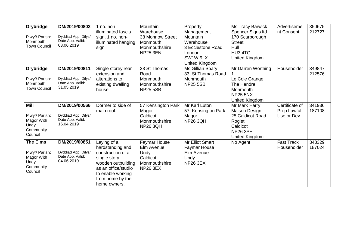| <b>Drybridge</b><br>Plwyf/ Parish:<br>Monmouth<br><b>Town Council</b>           | DM/2019/00802<br>Dyddiad App. Dilys/<br>Date App. Valid:<br>03.06.2019 | $1$ no. non-<br>illuminated fascia<br>sign. 1 no. non-<br>illuminated hanging<br>sign                                                                                      | Mountain<br>Warehouse<br>38 Monnow Street<br>Monmouth<br>Monmouthshire<br><b>NP25 3EN</b> | Property<br>Management<br>Mountain<br>Warehouse<br>3 Ecclestone Road<br>London<br>SW1W 9LX<br>United Kingdom | <b>Ms Tracy Barwick</b><br>Spencer Signs Itd<br>170 Scarborough<br><b>Street</b><br>Hull<br>HU3 4TG<br>United Kingdom | Advertiseme<br>nt Consent                   | 350675<br>212727 |
|---------------------------------------------------------------------------------|------------------------------------------------------------------------|----------------------------------------------------------------------------------------------------------------------------------------------------------------------------|-------------------------------------------------------------------------------------------|--------------------------------------------------------------------------------------------------------------|-----------------------------------------------------------------------------------------------------------------------|---------------------------------------------|------------------|
| <b>Drybridge</b><br>Plwyf/ Parish:<br>Monmouth<br><b>Town Council</b>           | DM/2019/00811<br>Dyddiad App. Dilys/<br>Date App. Valid:<br>31.05.2019 | Single storey rear<br>extension and<br>alterations to<br>existing dwelling<br>house                                                                                        | 33 St Thomas<br>Road<br>Monmouth<br>Monmouthshire<br><b>NP25 5SB</b>                      | Ms Gillian Spary<br>33, St Thomas Road<br>Monmouth<br><b>NP25 5SB</b>                                        | Mr Darren Worthing<br>Le Cole Grange<br>The Hendre<br>Monmouth<br><b>NP25 5NX</b><br>United Kingdom                   | Householder                                 | 349847<br>212576 |
| <b>Mill</b><br>Plwyf/ Parish:<br>Magor With<br>Undy<br>Community<br>Council     | DM/2019/00566<br>Dyddiad App. Dilys/<br>Date App. Valid:<br>16.04.2019 | Dormer to side of<br>main roof.                                                                                                                                            | 57 Kensington Park<br>Magor<br>Caldicot<br>Monmouthshire<br><b>NP26 3QH</b>               | Mr Karl Luton<br>57, Kensington Park<br>Magor<br><b>NP26 3QH</b>                                             | Mr Mark Harry<br><b>Maison Design</b><br>25 Caldicot Road<br>Rogiet<br>Caldicot<br><b>NP26 3SE</b><br>United Kingdom  | Certificate of<br>Prop Lawful<br>Use or Dev | 341936<br>187108 |
| <b>The Elms</b><br>Plwyf/ Parish:<br>Magor With<br>Undy<br>Community<br>Council | DM/2019/00851<br>Dyddiad App. Dilys/<br>Date App. Valid:<br>04.06.2019 | Laying of a<br>hardstanding and<br>construction of a<br>single story<br>wooden outbuilding<br>as an office/studio<br>to enable working<br>from home by the<br>home owners. | <b>Faymar House</b><br>Elm Avenue<br>Undy<br>Caldicot<br>Monmouthshire<br><b>NP26 3EX</b> | <b>Mr Elliot Smart</b><br><b>Faymar House</b><br>Elm Avenue<br>Undy<br><b>NP26 3EX</b>                       | No Agent                                                                                                              | <b>Fast Track</b><br>Householder            | 343329<br>187024 |